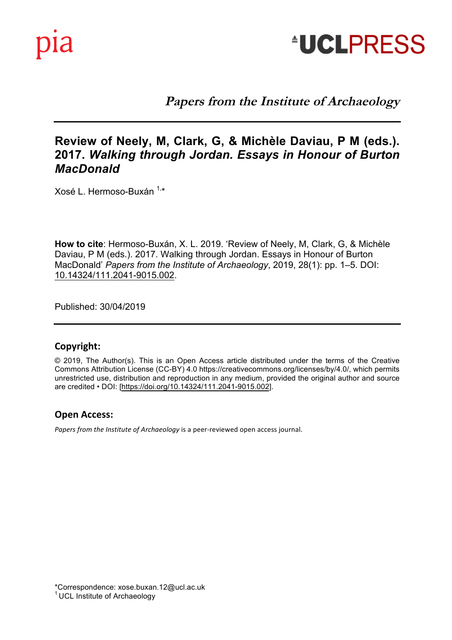

**Papers from the Institute of Archaeology** 

# 2017. Walking through Jordan. Essays in Honour of Burton **Review of Neely, M, Clark, G, & Michèle Daviau, P M (eds.).**  *MacDonald*

Xosé L. Hermoso-Buxán <sup>1,\*</sup>

Daviau, P M (eds.). 2017. Walking through Jordan. Essays in Honour of Burton<br>MacDonald' *Paners from the Institute of Archaeology*, 2019, 28(1): pp. 1–5, DOI **How to cite**: Hermoso-Buxán, X. L. 2019. 'Review of Neely, M, Clark, G, & Michèle MacDonald' *Papers from the Institute of Archaeology*, 2019, 28(1): pp. 1–5. DOI: 10.14324/111.2041-9015.002.

Published: 30/04/2019 **Published:** 30/04/2019

Archaeology and Heritage.

### **Copyright:**

Commons Attribution License (CC-BT) 4.0 https://creativecommons.org/licenses/by/4.0/, which permits<br>unrestricted use, distribution and reproduction in any medium, provided the original author and source © 2019, The Author(s). This is an Open Access article distributed under the terms of the Creative Commons Attribution License (CC-BY) 4.0 https://creativecommons.org/licenses/by/4.0/, which permits are credited • DOI: [https://doi.org/10.14324/111.2041-9015.002].

#### **Open Access:**

Papers from the Institute of Archaeology is a peer-reviewed open access journal.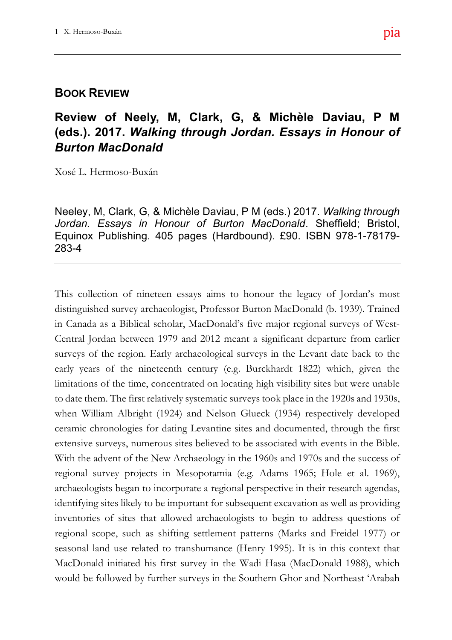## **BOOK REVIEW**

# Refections and Agendas (eds.). 2017. *Walking through Jordan. Essays in Honour of* **Review of Neely, M, Clark, G, & Michèle Daviau, P M**  *Burton MacDonald*

Xosé L. Hermoso-Buxán

**Closing Comment** Neeley, M, Clark, G, & Michèle Daviau, P M (eds.) 2017. *Walking through*   $\mathcal{L}$ Jordan. Essays in Honour of Burton MacDonald. Sheffield; Bristol,  $\overline{z}$  debate over Brexit and its relationship over Brexit and its relationship over Brexit and its relationship over Brexit and its relationship over Brexit and its relationship over Brexit and its relationship over Br Equinox Publishing. 405 pages (Hardbound). £90. ISBN 978-1-78179-283-4

This collection of nineteen essays aims to honour the legacy of Jordan's most  $\frac{1}{100}$ distinguished survey archaeologist, Professor Burton MacDonald (b. 1939). Trained  $\frac{1}{100}$ in Canada as a Biblical scholar, MacDonald's five major regional surveys of West- $\mathbf{C}$ st Central Jordan between 1979 and 2012 meant a significant departure from earlier problems the this problems that the thing the should it reaches the should it reaches that the should it reaches the should interest of the should interest of the should interest of the should interest of the should intere surveys of the region. Early archaeological surveys in the Levant date back to the  $\mathbf{u}$ early years of the nineteenth century (e.g. Burckhardt 1822) which, given the to date them. The first relatively systematic surveys took place in the 1920s and 1930s, limitations of the time, concentrated on locating high visibility sites but were unable when William Albright (1924) and Nelson Glueck (1934) respectively developed ceramic chronologies for dating Levantine sites and documented, through the first extensive surveys, numerous sites believed to be associated with events in the Bible. With the advent of the New Archaeology in the 1960s and 1970s and the success of regional survey projects in Mesopotamia (e.g. Adams 1965; Hole et al. 1969), archaeologists began to incorporate a regional perspective in their research agendas, identifying sites likely to be important for subsequent excavation as well as providing inventories of sites that allowed archaeologists to begin to address questions of regional scope, such as shifting settlement patterns (Marks and Freidel 1977) or seasonal land use related to transhumance (Henry 1995). It is in this context that MacDonald initiated his first survey in the Wadi Hasa (MacDonald 1988), which would be followed by further surveys in the Southern Ghor and Northeast 'Arabah

the personal that has perfect and the personal that has per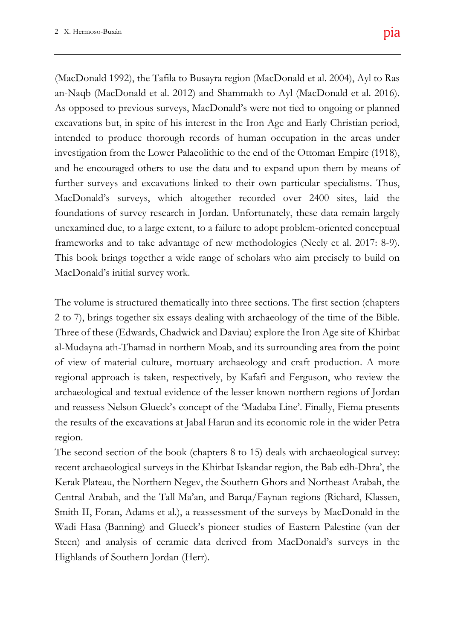foundations of survey research in Jordan. Unfortunately, these data remain largely  $g_{\rm cyl}$ unexamined due, to a large extent, to a failure to adopt problem-oriented conceptual  $\mathbf{u}$ ding debate over Brexit and its relative over Brexit and its relative over Brexit and its relative over  $\mathbf{u}$  $\eta$  to archaeology and here  $\eta$  $(e^z - e^z)$  $\frac{1}{2}$  the schoolarly, the political and political and political and political and political and political and political and political and political and political and political and political and political and political This book brings together a wide range of scholars who aim precisely to build on (MacDonald 1992), the Tafila to Busayra region (MacDonald et al. 2004), Ayl to Ras  $(10).$  $\text{red}$  $A<sub>1</sub>$  $\vert$  1.0) showth represents the comments the forum comments to the forum covering Brexit, and  $\vert$ investigation from the Lower Palaeolithic to the end of the Ottoman Empire (1918), **Keywords:** Archaeology; Brexit; Heritage; Funding; EU; Post-Truth an-Naqb (MacDonald et al. 2012) and Shammakh to Ayl (MacDonald et al. 2016). As opposed to previous surveys, MacDonald's were not tied to ongoing or planned excavations but, in spite of his interest in the Iron Age and Early Christian period, intended to produce thorough records of human occupation in the areas under and he encouraged others to use the data and to expand upon them by means of further surveys and excavations linked to their own particular specialisms. Thus, MacDonald's surveys, which altogether recorded over 2400 sites, laid the frameworks and to take advantage of new methodologies (Neely et al. 2017: 8-9). MacDonald's initial survey work.

initial paper for this Forum in July of 2017, The volume is structured thematically into three sections. The first section (chapters  $a_{\rm L}$  in terms of the actual pro-2 to 7), brings together six essays dealing with archaeology of the time of the Bible. happened. More and more evidence is cer-Three of these (Edwards, Chadwick and Daviau) explore the Iron Age site of Khirbat  $p$  that this problems that the problems that the problems  $p$ al-Mudayna ath-Thamad in northern Moab, and its surrounding area from the point erally, in the rest of Europe (particularly in of view of material culture, mortuary archaeology and craft production. A more archaeological and textual evidence of the lesser known northern regions of Jordan Corresponding author: Andrew Gardner and reassess Nelson Glueck's concept of the 'Madaba Line'. Finally, Fiema presents regional approach is taken, respectively, by Kafafi and Ferguson, who review the the results of the excavations at Jabal Harun and its economic role in the wider Petra region.

The second section of the book (chapters 8 to 15) deals with archaeological survey: recent archaeological surveys in the Khirbat Iskandar region, the Bab edh-Dhra', the Kerak Plateau, the Northern Negev, the Southern Ghors and Northeast Arabah, the Central Arabah, and the Tall Ma'an, and Barqa/Faynan regions (Richard, Klassen, Smith II, Foran, Adams et al.), a reassessment of the surveys by MacDonald in the Wadi Hasa (Banning) and Glueck's pioneer studies of Eastern Palestine (van der Steen) and analysis of ceramic data derived from MacDonald's surveys in the Highlands of Southern Jordan (Herr).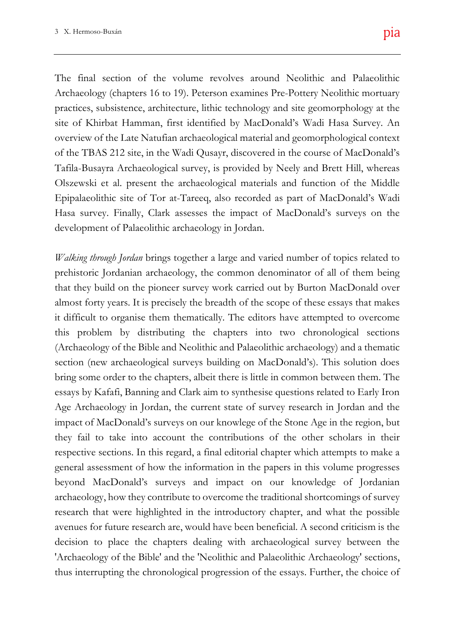Hasa survey. Finally, Clark assesses the impact of MacDonald's surveys on the  $\mathbf{u}$ The final section of the volume revolves around Neolithic and Palaeolithic uary and Heritage the  $\overline{\phantom{a}}$  $\overline{AB}$  $T_{\rm d}$  short represents the comments to the forum comments to the forum continuous comments to the forum covering  $T_{\rm d}$ of the TBAS 212 site, in the Wadi Qusayr, discovered in the course of MacDonald's **Keywords:** Archaeology; Brexit; Heritage; Funding; EU; Post-Truth Archaeology (chapters 16 to 19). Peterson examines Pre-Pottery Neolithic mortuary practices, subsistence, architecture, lithic technology and site geomorphology at the site of Khirbat Hamman, first identified by MacDonald's Wadi Hasa Survey. An overview of the Late Natufian archaeological material and geomorphological context Tafila-Busayra Archaeological survey, is provided by Neely and Brett Hill, whereas Olszewski et al. present the archaeological materials and function of the Middle Epipalaeolithic site of Tor at-Tareeq, also recorded as part of MacDonald's Wadi development of Palaeolithic archaeology in Jordan.

 $\frac{1}{2}$  to school results. *Walking through Jordan* brings together a large and varied number of topics related to with us, and increasingly comments upon, and increasingly comments upon, and increasingly comments  $\alpha$ prehistoric Jordanian archaeology, the common denominator of all of them being crisis from which we can only hope a positive that they build on the pioneer survey work carried out by Burton MacDonald over initial paper for this Forum in July of 2017, almost forty years. It is precisely the breadth of the scope of these essays that makes although ironically in terms of the actual proit difficult to organise them thematically. The editors have attempted to overcome happened. More and more evidence is certhis problem by distributing the chapters into two chronological sections problems that this process, should it reach (Archaeology of the Bible and Neolithic and Palaeolithic archaeology) and a thematic  $\mathbf{r}$ section (new archaeological surveys building on MacDonald's). This solution does essays by Kafafi, Banning and Clark aim to synthesise questions related to Early Iron Corresponding author: Andrew Gardner Age Archaeology in Jordan, the current state of survey research in Jordan and the bring some order to the chapters, albeit there is little in common between them. The impact of MacDonald's surveys on our knowlege of the Stone Age in the region, but they fail to take into account the contributions of the other scholars in their respective sections. In this regard, a final editorial chapter which attempts to make a general assessment of how the information in the papers in this volume progresses beyond MacDonald's surveys and impact on our knowledge of Jordanian archaeology, how they contribute to overcome the traditional shortcomings of survey research that were highlighted in the introductory chapter, and what the possible avenues for future research are, would have been beneficial. A second criticism is the decision to place the chapters dealing with archaeological survey between the 'Archaeology of the Bible' and the 'Neolithic and Palaeolithic Archaeology' sections, thus interrupting the chronological progression of the essays. Further, the choice of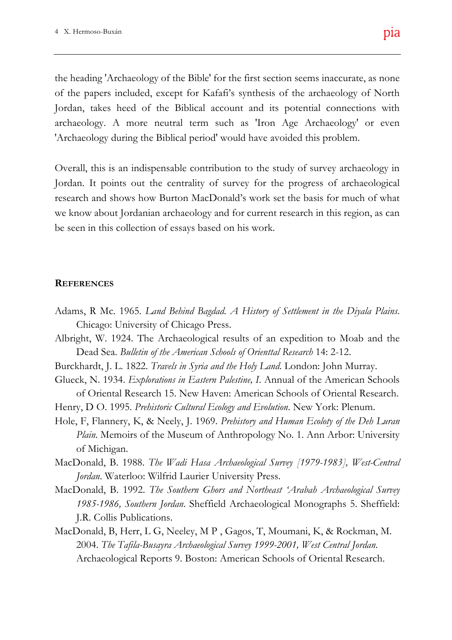the heading 'Archaeology of the Bible' for the first section seems inaccurate, as none  $\mathcal{L}$ Jordan, takes heed of the Biblical account and its potential connections with  $\lambda$ v C<sub>11</sub> of the papers included, except for Kafafi's synthesis of the archaeology of North archaeology. A more neutral term such as 'Iron Age Archaeology' or even 'Archaeology during the Biblical period' would have avoided this problem.

we know about Jordanian archaeology and for current research in this region, as can  $\alpha$ <sup>11</sup>  $K_{\text{real}}$ Overall, this is an indispensable contribution to the study of survey archaeology in Jordan. It points out the centrality of survey for the progress of archaeological research and shows how Burton MacDonald's work set the basis for much of what be seen in this collection of essays based on his work.

#### **REFERENCES**

- events have moved forward in several ways, Adams, R Mc. 1965. *Land Behind Bagdad. A History of Settlement in the Diyala Plains*. Chicago: University of Chicago Press.
- Albright, W. 1924. The Archaeological results of an expedition to Moab and the  $\mathbf{u}$ Dead Sea. *Bulletin of the American Schools of Orienttal Research* 14: 2-12.
- Burckhardt, J. L. 1822. *Travels in Syria and the Holy Land*. London: John Murray.
- $U$ of Oriental Research 15. New Haven: American Schools of Oriental Research. Glueck, N. 1934. *Explorations in Eastern Palestine, I*. Annual of the American Schools
- Henry, D O. 1995. *Prehistoric Cultural Ecology and Evolution*. New York: Plenum.
- Hole, F, Flannery, K, & Neely, J. 1969. *Prehistory and Human Ecoloty of the Deh Luran Plain*. Memoirs of the Museum of Anthropology No. 1. Ann Arbor: University of Michigan.
- MacDonald, B. 1988. *The Wadi Hasa Archaeological Survey [1979-1983], West-Central Jordan*. Waterloo: Wilfrid Laurier University Press.
- MacDonald, B. 1992. *The Southern Ghors and Northeast 'Arabah Archaeological Survey 1985-1986, Southern Jordan*. Sheffield Archaeological Monographs 5. Sheffield: J.R. Collis Publications.
- MacDonald, B, Herr, L G, Neeley, M P , Gagos, T, Moumani, K, & Rockman, M. 2004. *The Tafila-Busayra Archaeological Survey 1999-2001, West Central Jordan*. Archaeological Reports 9. Boston: American Schools of Oriental Research.